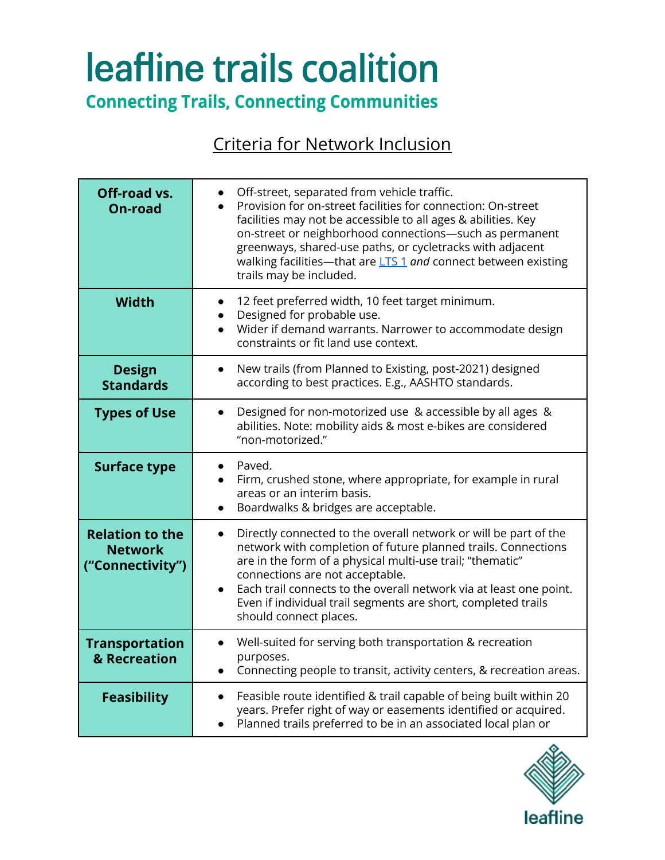# leafline trails coalition

**Connecting Trails, Connecting Communities** 

## Criteria for Network Inclusion

| Off-road vs.<br><b>On-road</b>                               | Off-street, separated from vehicle traffic.<br>Provision for on-street facilities for connection: On-street<br>facilities may not be accessible to all ages & abilities. Key<br>on-street or neighborhood connections-such as permanent<br>greenways, shared-use paths, or cycletracks with adjacent<br>walking facilities-that are LTS 1 and connect between existing<br>trails may be included.                            |
|--------------------------------------------------------------|------------------------------------------------------------------------------------------------------------------------------------------------------------------------------------------------------------------------------------------------------------------------------------------------------------------------------------------------------------------------------------------------------------------------------|
| <b>Width</b>                                                 | 12 feet preferred width, 10 feet target minimum.<br>Designed for probable use.<br>Wider if demand warrants. Narrower to accommodate design<br>constraints or fit land use context.                                                                                                                                                                                                                                           |
| <b>Design</b><br><b>Standards</b>                            | New trails (from Planned to Existing, post-2021) designed<br>$\bullet$<br>according to best practices. E.g., AASHTO standards.                                                                                                                                                                                                                                                                                               |
| <b>Types of Use</b>                                          | Designed for non-motorized use & accessible by all ages &<br>abilities. Note: mobility aids & most e-bikes are considered<br>"non-motorized."                                                                                                                                                                                                                                                                                |
| <b>Surface type</b>                                          | Paved.<br>Firm, crushed stone, where appropriate, for example in rural<br>areas or an interim basis.<br>Boardwalks & bridges are acceptable.                                                                                                                                                                                                                                                                                 |
| <b>Relation to the</b><br><b>Network</b><br>("Connectivity") | Directly connected to the overall network or will be part of the<br>$\bullet$<br>network with completion of future planned trails. Connections<br>are in the form of a physical multi-use trail; "thematic"<br>connections are not acceptable.<br>Each trail connects to the overall network via at least one point.<br>$\bullet$<br>Even if individual trail segments are short, completed trails<br>should connect places. |
| <b>Transportation</b><br>& Recreation                        | Well-suited for serving both transportation & recreation<br>$\bullet$<br>purposes.<br>Connecting people to transit, activity centers, & recreation areas.<br>$\bullet$                                                                                                                                                                                                                                                       |
| <b>Feasibility</b>                                           | Feasible route identified & trail capable of being built within 20<br>years. Prefer right of way or easements identified or acquired.<br>Planned trails preferred to be in an associated local plan or                                                                                                                                                                                                                       |